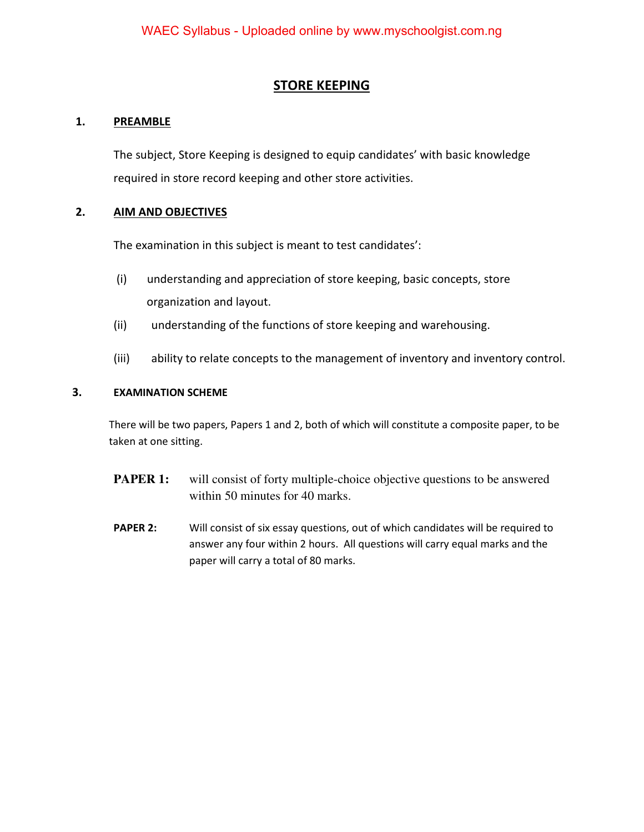### **STORE KEEPING**

### **1. PREAMBLE**

 The subject, Store Keeping is designed to equip candidates' with basic knowledge required in store record keeping and other store activities.

#### **2. AIM AND OBJECTIVES**

The examination in this subject is meant to test candidates':

- (i) understanding and appreciation of store keeping, basic concepts, store organization and layout.
- (ii) understanding of the functions of store keeping and warehousing.
- (iii) ability to relate concepts to the management of inventory and inventory control.

#### **3. EXAMINATION SCHEME**

There will be two papers, Papers 1 and 2, both of which will constitute a composite paper, to be taken at one sitting.

- **PAPER 1:** will consist of forty multiple-choice objective questions to be answered within 50 minutes for 40 marks.
- **PAPER 2:** Will consist of six essay questions, out of which candidates will be required to answer any four within 2 hours. All questions will carry equal marks and the paper will carry a total of 80 marks.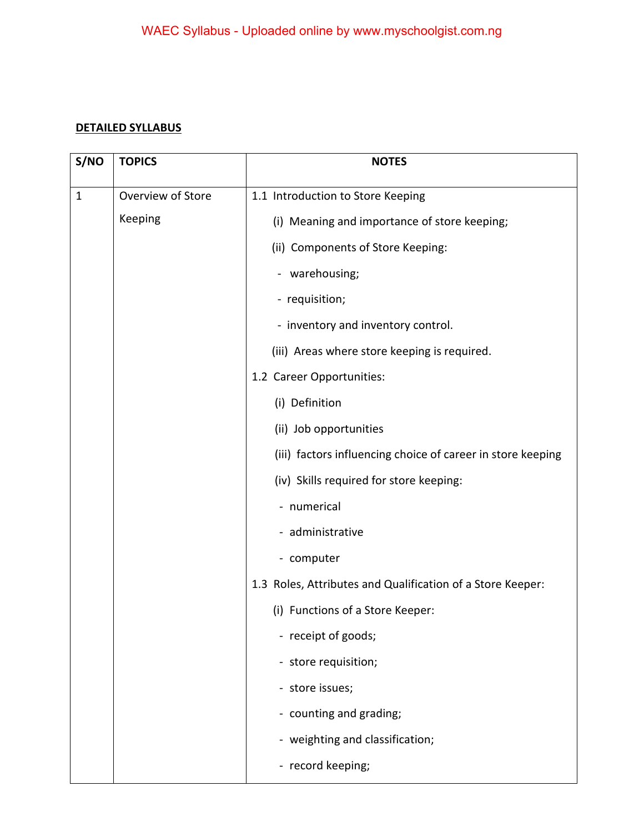## **DETAILED SYLLABUS**

| S/NO         | <b>TOPICS</b>     | <b>NOTES</b>                                                |
|--------------|-------------------|-------------------------------------------------------------|
| $\mathbf{1}$ | Overview of Store | 1.1 Introduction to Store Keeping                           |
|              | Keeping           | (i) Meaning and importance of store keeping;                |
|              |                   | (ii) Components of Store Keeping:                           |
|              |                   | - warehousing;                                              |
|              |                   | - requisition;                                              |
|              |                   | - inventory and inventory control.                          |
|              |                   | (iii) Areas where store keeping is required.                |
|              |                   | 1.2 Career Opportunities:                                   |
|              |                   | (i) Definition                                              |
|              |                   | (ii) Job opportunities                                      |
|              |                   | (iii) factors influencing choice of career in store keeping |
|              |                   | (iv) Skills required for store keeping:                     |
|              |                   | - numerical                                                 |
|              |                   | - administrative                                            |
|              |                   | - computer                                                  |
|              |                   | 1.3 Roles, Attributes and Qualification of a Store Keeper:  |
|              |                   | (i) Functions of a Store Keeper:                            |
|              |                   | - receipt of goods;                                         |
|              |                   | - store requisition;                                        |
|              |                   | - store issues;                                             |
|              |                   | - counting and grading;                                     |
|              |                   | - weighting and classification;                             |
|              |                   | - record keeping;                                           |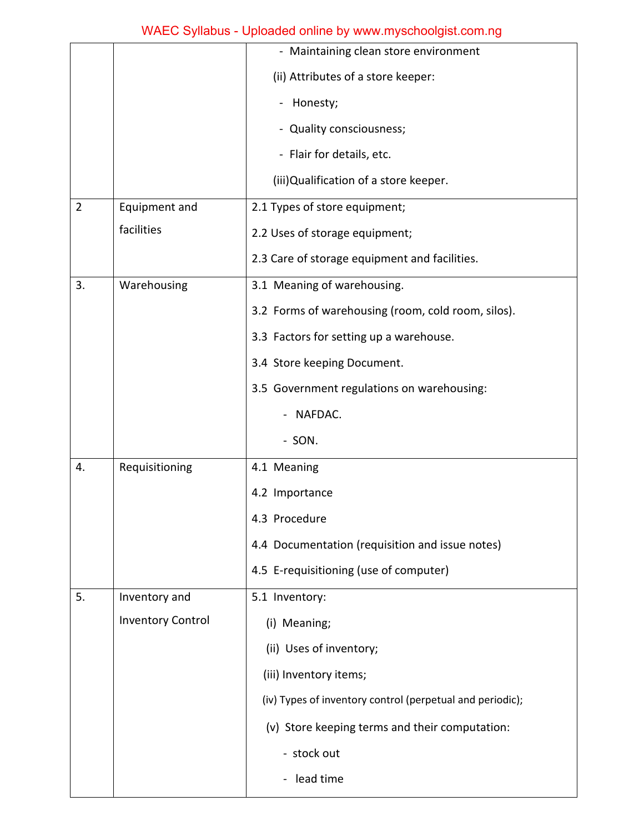## WAEC Syllabus - Uploaded online by www.myschoolgist.com.ng

|                |                          | - Maintaining clean store environment                     |
|----------------|--------------------------|-----------------------------------------------------------|
|                |                          | (ii) Attributes of a store keeper:                        |
|                |                          | - Honesty;                                                |
|                |                          | - Quality consciousness;                                  |
|                |                          | - Flair for details, etc.                                 |
|                |                          | (iii) Qualification of a store keeper.                    |
| $\overline{2}$ | Equipment and            | 2.1 Types of store equipment;                             |
|                | facilities               | 2.2 Uses of storage equipment;                            |
|                |                          | 2.3 Care of storage equipment and facilities.             |
| 3.             | Warehousing              | 3.1 Meaning of warehousing.                               |
|                |                          | 3.2 Forms of warehousing (room, cold room, silos).        |
|                |                          | 3.3 Factors for setting up a warehouse.                   |
|                |                          | 3.4 Store keeping Document.                               |
|                |                          | 3.5 Government regulations on warehousing:                |
|                |                          | NAFDAC.                                                   |
|                |                          | - SON.                                                    |
| 4.             | Requisitioning           | 4.1 Meaning                                               |
|                |                          | 4.2 Importance                                            |
|                |                          | 4.3 Procedure                                             |
|                |                          | 4.4 Documentation (requisition and issue notes)           |
|                |                          | 4.5 E-requisitioning (use of computer)                    |
| 5.             | Inventory and            | 5.1 Inventory:                                            |
|                | <b>Inventory Control</b> | (i) Meaning;                                              |
|                |                          | (ii) Uses of inventory;                                   |
|                |                          | (iii) Inventory items;                                    |
|                |                          | (iv) Types of inventory control (perpetual and periodic); |
|                |                          | (v) Store keeping terms and their computation:            |
|                |                          | - stock out                                               |
|                |                          | lead time<br>$\blacksquare$                               |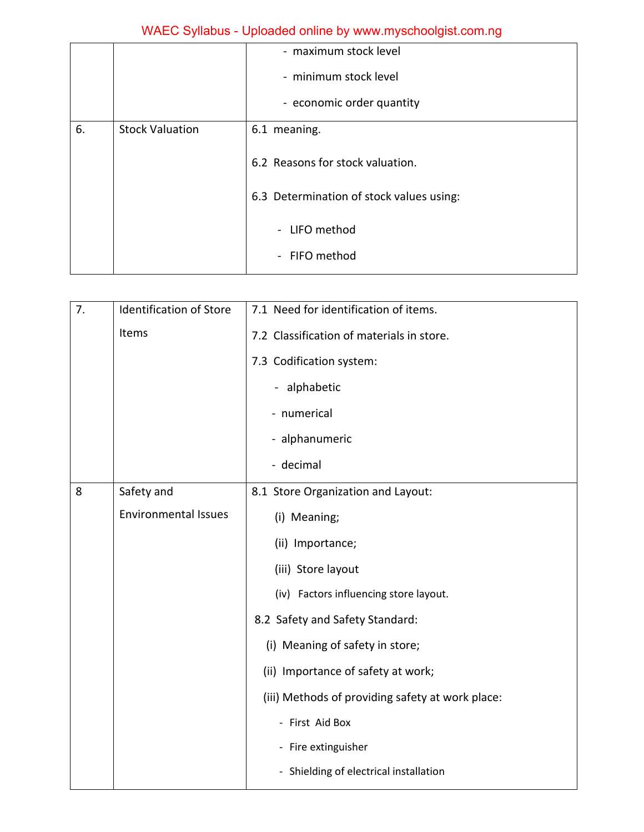# WAEC Syllabus - Uploaded online by www.myschoolgist.com.ng

|    |                        | - maximum stock level                    |
|----|------------------------|------------------------------------------|
|    |                        | - minimum stock level                    |
|    |                        | - economic order quantity                |
| 6. | <b>Stock Valuation</b> | 6.1 meaning.                             |
|    |                        | 6.2 Reasons for stock valuation.         |
|    |                        | 6.3 Determination of stock values using: |
|    |                        | - LIFO method                            |
|    |                        | - FIFO method                            |

| 7. | <b>Identification of Store</b> | 7.1 Need for identification of items.            |
|----|--------------------------------|--------------------------------------------------|
|    | Items                          | 7.2 Classification of materials in store.        |
|    |                                | 7.3 Codification system:                         |
|    |                                | - alphabetic                                     |
|    |                                | - numerical                                      |
|    |                                | - alphanumeric                                   |
|    |                                | - decimal                                        |
| 8  | Safety and                     | 8.1 Store Organization and Layout:               |
|    | <b>Environmental Issues</b>    | (i) Meaning;                                     |
|    |                                | (ii) Importance;                                 |
|    |                                | (iii) Store layout                               |
|    |                                | (iv) Factors influencing store layout.           |
|    |                                | 8.2 Safety and Safety Standard:                  |
|    |                                | (i) Meaning of safety in store;                  |
|    |                                | (ii) Importance of safety at work;               |
|    |                                | (iii) Methods of providing safety at work place: |
|    |                                | - First Aid Box                                  |
|    |                                | - Fire extinguisher                              |
|    |                                | - Shielding of electrical installation           |